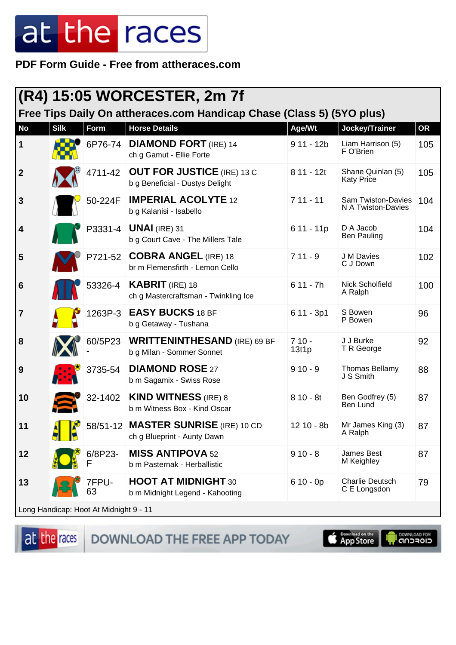PDF Form Guide - Free from attheraces.com

| $(R4)$ 15:05 WORCESTER, 2m 7f                                         |             |              |                                                                      |                  |                                          |           |  |
|-----------------------------------------------------------------------|-------------|--------------|----------------------------------------------------------------------|------------------|------------------------------------------|-----------|--|
| Free Tips Daily On attheraces.com Handicap Chase (Class 5) (5YO plus) |             |              |                                                                      |                  |                                          |           |  |
| <b>No</b>                                                             | <b>Silk</b> | Form         | <b>Horse Details</b>                                                 | Age/Wt           | Jockey/Trainer                           | <b>OR</b> |  |
| 1                                                                     |             | 6P76-74      | <b>DIAMOND FORT</b> (IRE) 14<br>ch g Gamut - Ellie Forte             | $911 - 12b$      | Liam Harrison (5)<br>F O'Brien           | 105       |  |
| $\overline{2}$                                                        |             | 4711-42      | <b>OUT FOR JUSTICE</b> (IRE) 13 C<br>b g Beneficial - Dustys Delight | 8 11 - 12t       | Shane Quinlan (5)<br><b>Katy Price</b>   | 105       |  |
| 3                                                                     |             | 50-224F      | <b>IMPERIAL ACOLYTE 12</b><br>b g Kalanisi - Isabello                | $711 - 11$       | Sam Twiston-Davies<br>N A Twiston-Davies | 104       |  |
| $\boldsymbol{4}$                                                      |             |              | P3331-4   <b>UNAI</b> (IRE) 31<br>b g Court Cave - The Millers Tale  | $611 - 11p$      | D A Jacob<br><b>Ben Pauling</b>          | 104       |  |
| 5                                                                     |             |              | P721-52 COBRA ANGEL (IRE) 18<br>br m Flemensfirth - Lemon Cello      | $711 - 9$        | J M Davies<br>C J Down                   | 102       |  |
| $6\phantom{1}6$                                                       |             | 53326-4      | <b>KABRIT</b> (IRE) 18<br>ch g Mastercraftsman - Twinkling Ice       | $611 - 7h$       | Nick Scholfield<br>A Ralph               | 100       |  |
| $\overline{7}$                                                        |             | 1263P-3      | <b>EASY BUCKS 18 BF</b><br>b g Getaway - Tushana                     | $611 - 3p1$      | S Bowen<br>P Bowen                       | 96        |  |
| 8                                                                     |             | 60/5P23      | <b>WRITTENINTHESAND</b> (IRE) 69 BF<br>b g Milan - Sommer Sonnet     | $710 -$<br>13f1p | J J Burke<br>T R George                  | 92        |  |
| 9                                                                     |             | 3735-54      | <b>DIAMOND ROSE 27</b><br>b m Sagamix - Swiss Rose                   | $910 - 9$        | <b>Thomas Bellamy</b><br>J S Smith       | 88        |  |
| 10                                                                    |             | 32-1402      | <b>KIND WITNESS (IRE) 8</b><br>b m Witness Box - Kind Oscar          | $810 - 8t$       | Ben Godfrey (5)<br>Ben Lund              | 87        |  |
| 11                                                                    |             |              | 58/51-12 MASTER SUNRISE (IRE) 10 CD<br>ch g Blueprint - Aunty Dawn   | 12 10 - 8b       | Mr James King (3)<br>A Ralph             | 87        |  |
| 12                                                                    |             | 6/8P23-<br>F | <b>MISS ANTIPOVA 52</b><br>b m Pasternak - Herballistic              | $910 - 8$        | James Best<br>M Keighley                 | 87        |  |
| 13                                                                    |             | 7FPU-<br>63  | <b>HOOT AT MIDNIGHT 30</b><br>b m Midnight Legend - Kahooting        | $610 - 0p$       | <b>Charlie Deutsch</b><br>C E Longsdon   | 79        |  |
| Long Handicap: Hoot At Midnight 9 - 11                                |             |              |                                                                      |                  |                                          |           |  |

at the races

DOWNLOAD THE FREE APP TODAY

App Store **IL DOWNLOAD FOR**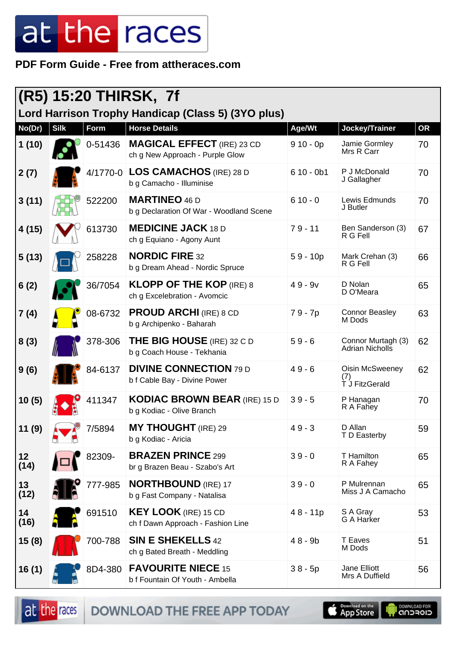#### **PDF Form Guide - Free from attheraces.com**

| (R5) 15:20 THIRSK, 7f<br>Lord Harrison Trophy Handicap (Class 5) (3YO plus) |             |          |                                                                      |             |                                          |           |  |
|-----------------------------------------------------------------------------|-------------|----------|----------------------------------------------------------------------|-------------|------------------------------------------|-----------|--|
| No(Dr)                                                                      | <b>Silk</b> | Form     | <b>Horse Details</b>                                                 | Age/Wt      | Jockey/Trainer                           | <b>OR</b> |  |
| 1(10)                                                                       |             | 0-51436  | <b>MAGICAL EFFECT</b> (IRE) 23 CD<br>ch g New Approach - Purple Glow | $910 - 0p$  | Jamie Gormley<br>Mrs R Carr              | 70        |  |
| 2(7)                                                                        |             | 4/1770-0 | <b>LOS CAMACHOS (IRE) 28 D</b><br>b g Camacho - Illuminise           | $610 - 0b1$ | P J McDonald<br>J Gallagher              | 70        |  |
| 3(11)                                                                       |             | 522200   | <b>MARTINEO 46 D</b><br>b g Declaration Of War - Woodland Scene      | $610 - 0$   | Lewis Edmunds<br>J Butler                | 70        |  |
| 4(15)                                                                       |             | 613730   | <b>MEDICINE JACK 18 D</b><br>ch g Equiano - Agony Aunt               | $79 - 11$   | Ben Sanderson (3)<br>R G Fell            | 67        |  |
| 5(13)                                                                       |             | 258228   | <b>NORDIC FIRE 32</b><br>b g Dream Ahead - Nordic Spruce             | $59 - 10p$  | Mark Crehan (3)<br>R G Fell              | 66        |  |
| 6(2)                                                                        |             | 36/7054  | <b>KLOPP OF THE KOP (IRE) 8</b><br>ch g Excelebration - Avomcic      | $49 - 9v$   | D Nolan<br>D O'Meara                     | 65        |  |
| 7(4)                                                                        |             | 08-6732  | <b>PROUD ARCHI (IRE) 8 CD</b><br>b g Archipenko - Baharah            | 79 - 7p     | <b>Connor Beasley</b><br>M Dods          | 63        |  |
| 8(3)                                                                        |             | 378-306  | <b>THE BIG HOUSE</b> (IRE) 32 C D<br>b g Coach House - Tekhania      | $59 - 6$    | Connor Murtagh (3)<br>Adrian Nicholls    | 62        |  |
| 9(6)                                                                        |             | 84-6137  | <b>DIVINE CONNECTION 79 D</b><br>b f Cable Bay - Divine Power        | $49 - 6$    | Oisin McSweeney<br>(7)<br>T J FitzGerald | 62        |  |
| 10(5)                                                                       |             | 411347   | <b>KODIAC BROWN BEAR (IRE) 15 D</b><br>b g Kodiac - Olive Branch     | $39 - 5$    | P Hanagan<br>R A Fahey                   | 70        |  |
| 11(9)                                                                       |             | 7/5894   | <b>MY THOUGHT</b> (IRE) 29<br>b g Kodiac - Aricia                    | $49 - 3$    | D Allan<br>T D Easterby                  | 59        |  |
| 12<br>(14)                                                                  |             | 82309-   | <b>BRAZEN PRINCE 299</b><br>br g Brazen Beau - Szabo's Art           | $39 - 0$    | T Hamilton<br>R A Fahey                  | 65        |  |
| 13<br>(12)                                                                  |             | 777-985  | <b>NORTHBOUND</b> (IRE) 17<br>b g Fast Company - Natalisa            | $39 - 0$    | P Mulrennan<br>Miss J A Camacho          | 65        |  |
| 14<br>(16)                                                                  |             | 691510   | <b>KEY LOOK</b> (IRE) 15 CD<br>ch f Dawn Approach - Fashion Line     | $48 - 11p$  | S A Gray<br>G A Harker                   | 53        |  |
| 15(8)                                                                       |             | 700-788  | <b>SIN E SHEKELLS 42</b><br>ch g Bated Breath - Meddling             | $48 - 9b$   | <b>T</b> Eaves<br>M Dods                 | 51        |  |
| 16(1)                                                                       |             | 8D4-380  | <b>FAVOURITE NIECE 15</b><br>b f Fountain Of Youth - Ambella         | $38 - 5p$   | Jane Elliott<br>Mrs A Duffield           | 56        |  |

at the races DOWNLOAD THE FREE APP TODAY

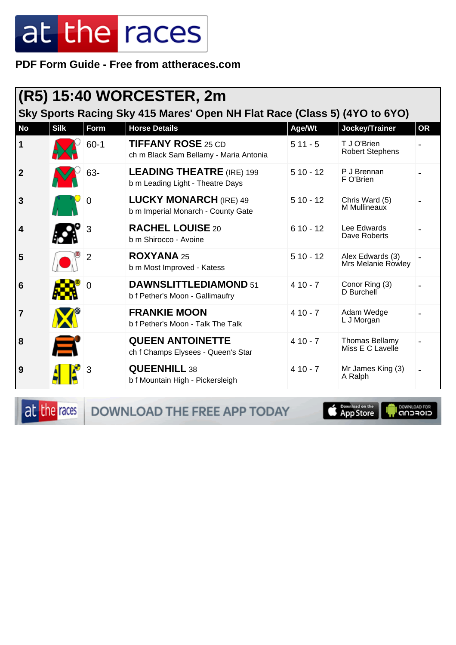**PDF Form Guide - Free from attheraces.com**

| (R5) 15:40 WORCESTER, 2m<br>Sky Sports Racing Sky 415 Mares' Open NH Flat Race (Class 5) (4YO to 6YO) |             |          |                                                                      |            |                                        |           |  |
|-------------------------------------------------------------------------------------------------------|-------------|----------|----------------------------------------------------------------------|------------|----------------------------------------|-----------|--|
| <b>No</b>                                                                                             | <b>Silk</b> | Form     | <b>Horse Details</b>                                                 | Age/Wt     | Jockey/Trainer                         | <b>OR</b> |  |
| 1                                                                                                     |             | $60 - 1$ | <b>TIFFANY ROSE 25 CD</b><br>ch m Black Sam Bellamy - Maria Antonia  | $511 - 5$  | T J O'Brien<br><b>Robert Stephens</b>  |           |  |
| $\overline{2}$                                                                                        |             | 63-      | <b>LEADING THEATRE (IRE) 199</b><br>b m Leading Light - Theatre Days | $510 - 12$ | P J Brennan<br>F O'Brien               |           |  |
| 3                                                                                                     |             | O        | <b>LUCKY MONARCH (IRE) 49</b><br>b m Imperial Monarch - County Gate  | $510 - 12$ | Chris Ward (5)<br>M Mullineaux         |           |  |
| $\overline{\mathbf{4}}$                                                                               |             | 3        | <b>RACHEL LOUISE 20</b><br>b m Shirocco - Avoine                     | $610 - 12$ | Lee Edwards<br>Dave Roberts            |           |  |
| 5                                                                                                     |             | 2        | <b>ROXYANA 25</b><br>b m Most Improved - Katess                      | $510 - 12$ | Alex Edwards (3)<br>Mrs Melanie Rowley |           |  |
| 6                                                                                                     |             | 0        | <b>DAWNSLITTLEDIAMOND 51</b><br>b f Pether's Moon - Gallimaufry      | $410 - 7$  | Conor Ring (3)<br>D Burchell           |           |  |
| 7                                                                                                     |             |          | <b>FRANKIE MOON</b><br>b f Pether's Moon - Talk The Talk             | $410 - 7$  | Adam Wedge<br>L J Morgan               |           |  |
| 8                                                                                                     |             |          | <b>QUEEN ANTOINETTE</b><br>ch f Champs Elysees - Queen's Star        | $410 - 7$  | Thomas Bellamy<br>Miss E C Lavelle     |           |  |
| 9                                                                                                     |             | 3        | <b>QUEENHILL 38</b><br>b f Mountain High - Pickersleigh              | $410 - 7$  | Mr James King (3)<br>A Ralph           |           |  |

at the races

DOWNLOAD THE FREE APP TODAY

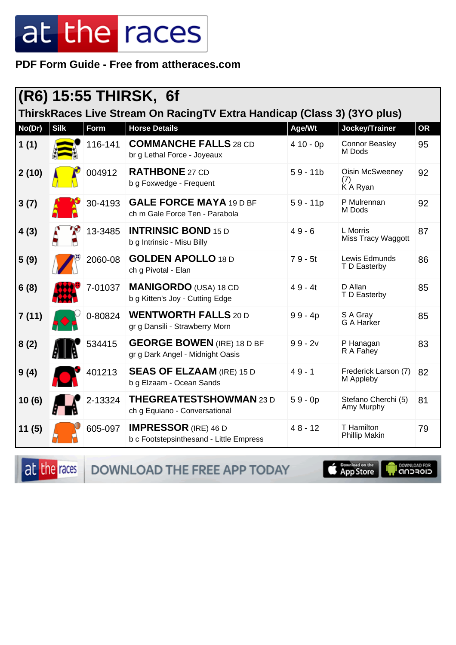PDF Form Guide - Free from attheraces.com

| (R6) 15:55 THIRSK, 6f<br>ThirskRaces Live Stream On RacingTV Extra Handicap (Class 3) (3YO plus) |             |         |                                                                        |            |                                          |           |  |
|--------------------------------------------------------------------------------------------------|-------------|---------|------------------------------------------------------------------------|------------|------------------------------------------|-----------|--|
| No(Dr)                                                                                           | <b>Silk</b> | Form    | <b>Horse Details</b>                                                   | Age/Wt     | Jockey/Trainer                           | <b>OR</b> |  |
| 1(1)                                                                                             |             | 116-141 | <b>COMMANCHE FALLS 28 CD</b><br>br g Lethal Force - Joyeaux            | $410 - 0p$ | <b>Connor Beasley</b><br>M Dods          | 95        |  |
| 2(10)                                                                                            |             | 004912  | <b>RATHBONE 27 CD</b><br>b g Foxwedge - Frequent                       | $59 - 11b$ | <b>Oisin McSweeney</b><br>(7)<br>KA Ryan | 92        |  |
| 3(7)                                                                                             |             | 30-4193 | <b>GALE FORCE MAYA 19 D BF</b><br>ch m Gale Force Ten - Parabola       | $59 - 11p$ | P Mulrennan<br>M Dods                    | 92        |  |
| 4(3)                                                                                             |             | 13-3485 | <b>INTRINSIC BOND 15 D</b><br>b g Intrinsic - Misu Billy               | $49 - 6$   | L Morris<br>Miss Tracy Waggott           | 87        |  |
| 5(9)                                                                                             |             | 2060-08 | <b>GOLDEN APOLLO 18 D</b><br>ch g Pivotal - Elan                       | $79 - 5t$  | Lewis Edmunds<br>T D Easterby            | 86        |  |
| 6(8)                                                                                             |             | 7-01037 | <b>MANIGORDO</b> (USA) 18 CD<br>b g Kitten's Joy - Cutting Edge        | $49 - 4t$  | D Allan<br>T D Easterby                  | 85        |  |
| 7(11)                                                                                            |             | 0-80824 | <b>WENTWORTH FALLS 20 D</b><br>gr g Dansili - Strawberry Morn          | $99 - 4p$  | S A Gray<br>G A Harker                   | 85        |  |
| 8(2)                                                                                             |             | 534415  | <b>GEORGE BOWEN (IRE) 18 D BF</b><br>gr g Dark Angel - Midnight Oasis  | $99 - 2v$  | P Hanagan<br>R A Fahey                   | 83        |  |
| 9(4)                                                                                             |             | 401213  | <b>SEAS OF ELZAAM (IRE) 15 D</b><br>b g Elzaam - Ocean Sands           | $49 - 1$   | Frederick Larson (7)<br>M Appleby        | 82        |  |
| 10(6)                                                                                            |             | 2-13324 | <b>THEGREATESTSHOWMAN 23 D</b><br>ch g Equiano - Conversational        | $59 - 0p$  | Stefano Cherchi (5)<br>Amy Murphy        | 81        |  |
| 11(5)                                                                                            |             | 605-097 | <b>IMPRESSOR</b> (IRE) 46 D<br>b c Footstepsinthesand - Little Empress | $48 - 12$  | T Hamilton<br><b>Phillip Makin</b>       | 79        |  |

at the races

DOWNLOAD THE FREE APP TODAY

Completed on the

**DOWNLOAD FOR**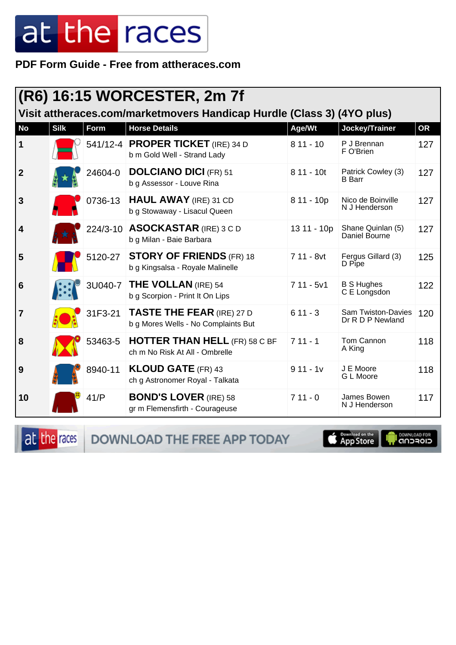PDF Form Guide - Free from attheraces.com

|                                                                        |             |         | (R6) 16:15 WORCESTER, 2m 7f                                             |              |                                               |           |  |  |
|------------------------------------------------------------------------|-------------|---------|-------------------------------------------------------------------------|--------------|-----------------------------------------------|-----------|--|--|
| Visit attheraces.com/marketmovers Handicap Hurdle (Class 3) (4YO plus) |             |         |                                                                         |              |                                               |           |  |  |
| <b>No</b>                                                              | <b>Silk</b> | Form    | <b>Horse Details</b>                                                    | Age/Wt       | Jockey/Trainer                                | <b>OR</b> |  |  |
| 1                                                                      |             |         | 541/12-4 <b>PROPER TICKET</b> (IRE) 34 D<br>b m Gold Well - Strand Lady | $811 - 10$   | P J Brennan<br>F O'Brien                      | 127       |  |  |
| $\boldsymbol{2}$                                                       |             | 24604-0 | <b>DOLCIANO DICI (FR) 51</b><br>b g Assessor - Louve Rina               | $811 - 10t$  | Patrick Cowley (3)<br><b>B</b> Barr           | 127       |  |  |
| 3                                                                      |             | 0736-13 | <b>HAUL AWAY (IRE) 31 CD</b><br>b g Stowaway - Lisacul Queen            | $811 - 10p$  | Nico de Boinville<br>N J Henderson            | 127       |  |  |
| $\overline{\mathbf{4}}$                                                |             |         | 224/3-10 ASOCKASTAR (IRE) 3 C D<br>b g Milan - Baie Barbara             | 13 11 - 10p  | Shane Quinlan (5)<br>Daniel Bourne            | 127       |  |  |
| 5                                                                      |             | 5120-27 | <b>STORY OF FRIENDS (FR) 18</b><br>b g Kingsalsa - Royale Malinelle     | $711 - 8$ vt | Fergus Gillard (3)<br>D Pipe                  | 125       |  |  |
| $6\phantom{1}6$                                                        |             | 3U040-7 | <b>THE VOLLAN (IRE) 54</b><br>b g Scorpion - Print It On Lips           | $711 - 5v1$  | <b>B S Hughes</b><br>C E Longsdon             | 122       |  |  |
| $\overline{7}$                                                         |             | 31F3-21 | <b>TASTE THE FEAR (IRE) 27 D</b><br>b g Mores Wells - No Complaints But | $611 - 3$    | <b>Sam Twiston-Davies</b><br>Dr R D P Newland | 120       |  |  |
| 8                                                                      |             | 53463-5 | <b>HOTTER THAN HELL (FR) 58 C BF</b><br>ch m No Risk At All - Ombrelle  | $711 - 1$    | Tom Cannon<br>A King                          | 118       |  |  |
| 9                                                                      |             | 8940-11 | <b>KLOUD GATE (FR) 43</b><br>ch g Astronomer Royal - Talkata            | $911 - 1v$   | J E Moore<br>G L Moore                        | 118       |  |  |
| 10                                                                     |             | 41/P    | <b>BOND'S LOVER (IRE) 58</b><br>gr m Flemensfirth - Courageuse          | $711 - 0$    | James Bowen<br>N J Henderson                  | 117       |  |  |

at the races DOWNLOAD THE FREE APP TODAY

App Store U

**OOWNLOAD FOR**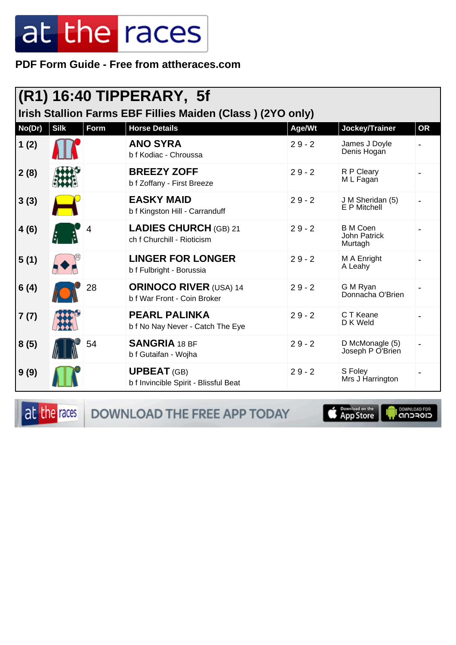PDF Form Guide - Free from attheraces.com

| $\vert$ (R1) 16:40 TIPPERARY, 5f<br>Irish Stallion Farms EBF Fillies Maiden (Class) (2YO only) |             |      |                                                              |          |                                                   |           |  |
|------------------------------------------------------------------------------------------------|-------------|------|--------------------------------------------------------------|----------|---------------------------------------------------|-----------|--|
| No(Dr)                                                                                         | <b>Silk</b> | Form | <b>Horse Details</b>                                         | Age/Wt   | Jockey/Trainer                                    | <b>OR</b> |  |
| 1(2)                                                                                           |             |      | <b>ANO SYRA</b><br>b f Kodiac - Chroussa                     | $29 - 2$ | James J Doyle<br>Denis Hogan                      |           |  |
| 2(8)                                                                                           |             |      | <b>BREEZY ZOFF</b><br>b f Zoffany - First Breeze             | $29 - 2$ | R P Cleary<br>M L Fagan                           |           |  |
| 3(3)                                                                                           |             |      | <b>EASKY MAID</b><br>b f Kingston Hill - Carranduff          | $29 - 2$ | J M Sheridan (5)<br>E P Mitchell                  |           |  |
| 4(6)                                                                                           |             |      | <b>LADIES CHURCH (GB) 21</b><br>ch f Churchill - Rioticism   | $29 - 2$ | <b>B</b> M Coen<br><b>John Patrick</b><br>Murtagh |           |  |
| 5(1)                                                                                           |             |      | <b>LINGER FOR LONGER</b><br>b f Fulbright - Borussia         | $29 - 2$ | M A Enright<br>A Leahy                            |           |  |
| 6(4)                                                                                           |             | 28   | <b>ORINOCO RIVER (USA) 14</b><br>b f War Front - Coin Broker | $29 - 2$ | G M Ryan<br>Donnacha O'Brien                      |           |  |
| 7(7)                                                                                           |             |      | <b>PEARL PALINKA</b><br>b f No Nay Never - Catch The Eye     | $29 - 2$ | C T Keane<br>D K Weld                             |           |  |
| 8(5)                                                                                           |             | 54   | <b>SANGRIA 18 BF</b><br>b f Gutaifan - Wojha                 | $29 - 2$ | D McMonagle (5)<br>Joseph P O'Brien               |           |  |
| 9(9)                                                                                           |             |      | <b>UPBEAT (GB)</b><br>b f Invincible Spirit - Blissful Beat  | $29 - 2$ | S Foley<br>Mrs J Harrington                       |           |  |

at the races DOWNLOAD THE FREE APP TODAY

App Store

**DOWNLOAD FOR**